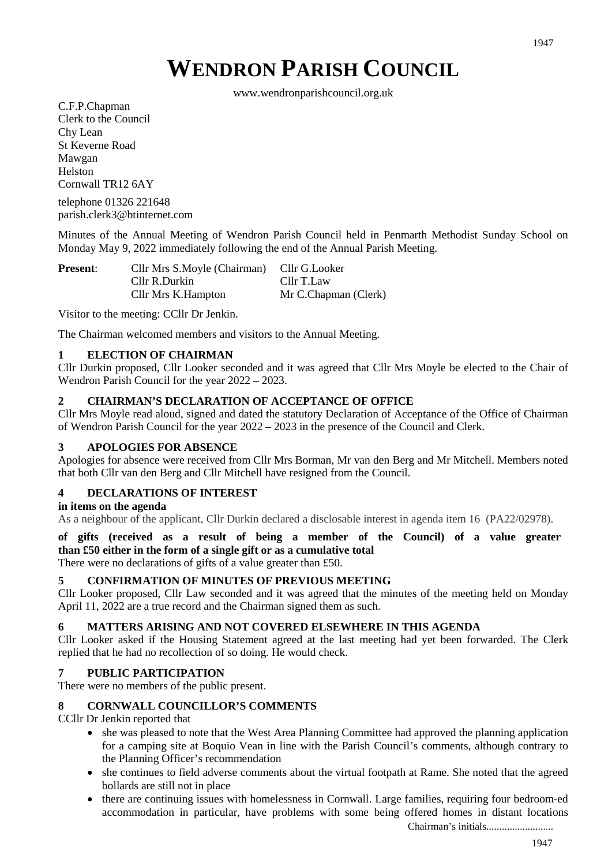# **WENDRON PARISH COUNCIL**

www.wendronparishcouncil.org.uk

C.F.P.Chapman Clerk to the Council Chy Lean St Keverne Road Mawgan Helston Cornwall TR12 6AY

telephone 01326 221648 parish.clerk3@btinternet.com

Minutes of the Annual Meeting of Wendron Parish Council held in Penmarth Methodist Sunday School on Monday May 9, 2022 immediately following the end of the Annual Parish Meeting.

| <b>Present:</b> | Cllr Mrs S.Moyle (Chairman) Cllr G.Looker |                      |
|-----------------|-------------------------------------------|----------------------|
|                 | Cllr R.Durkin                             | Cllr T.Law           |
|                 | Cllr Mrs K.Hampton                        | Mr C.Chapman (Clerk) |

Visitor to the meeting: CCllr Dr Jenkin.

The Chairman welcomed members and visitors to the Annual Meeting.

### **1 ELECTION OF CHAIRMAN**

Cllr Durkin proposed, Cllr Looker seconded and it was agreed that Cllr Mrs Moyle be elected to the Chair of Wendron Parish Council for the year 2022 – 2023.

#### **2 CHAIRMAN'S DECLARATION OF ACCEPTANCE OF OFFICE**

Cllr Mrs Moyle read aloud, signed and dated the statutory Declaration of Acceptance of the Office of Chairman of Wendron Parish Council for the year 2022 – 2023 in the presence of the Council and Clerk.

#### **3 APOLOGIES FOR ABSENCE**

Apologies for absence were received from Cllr Mrs Borman, Mr van den Berg and Mr Mitchell. Members noted that both Cllr van den Berg and Cllr Mitchell have resigned from the Council.

# **4 DECLARATIONS OF INTEREST**

#### **in items on the agenda**

As a neighbour of the applicant, Cllr Durkin declared a disclosable interest in agenda item 16 (PA22/02978).

#### **of gifts (received as a result of being a member of the Council) of a value greater than £50 either in the form of a single gift or as a cumulative total**

There were no declarations of gifts of a value greater than £50.

#### **5 CONFIRMATION OF MINUTES OF PREVIOUS MEETING**

Cllr Looker proposed, Cllr Law seconded and it was agreed that the minutes of the meeting held on Monday April 11, 2022 are a true record and the Chairman signed them as such.

#### **6 MATTERS ARISING AND NOT COVERED ELSEWHERE IN THIS AGENDA**

Cllr Looker asked if the Housing Statement agreed at the last meeting had yet been forwarded. The Clerk replied that he had no recollection of so doing. He would check.

#### **7 PUBLIC PARTICIPATION**

There were no members of the public present.

### **8 CORNWALL COUNCILLOR'S COMMENTS**

CCllr Dr Jenkin reported that

- she was pleased to note that the West Area Planning Committee had approved the planning application for a camping site at Boquio Vean in line with the Parish Council's comments, although contrary to the Planning Officer's recommendation
- she continues to field adverse comments about the virtual footpath at Rame. She noted that the agreed bollards are still not in place
- there are continuing issues with homelessness in Cornwall. Large families, requiring four bedroom-ed accommodation in particular, have problems with some being offered homes in distant locations

1947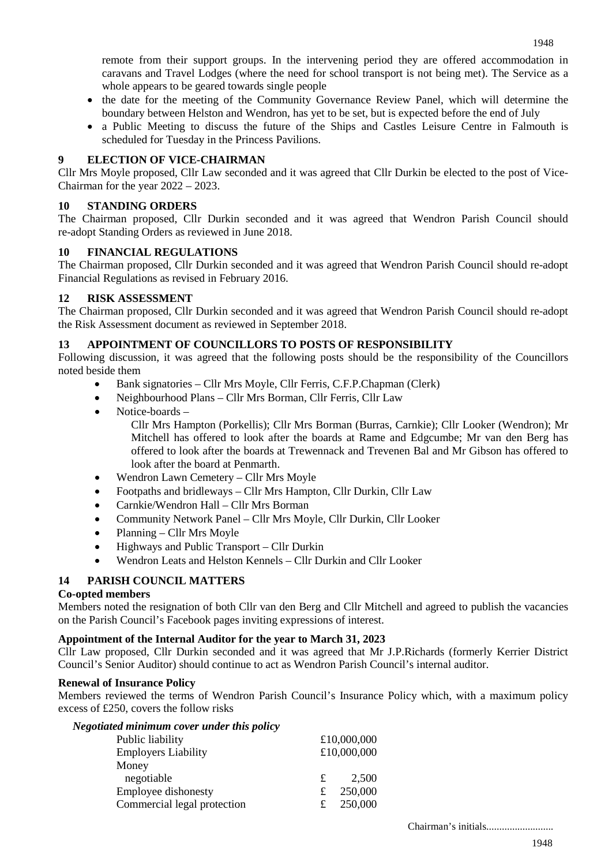remote from their support groups. In the intervening period they are offered accommodation in caravans and Travel Lodges (where the need for school transport is not being met). The Service as a whole appears to be geared towards single people

- the date for the meeting of the Community Governance Review Panel, which will determine the boundary between Helston and Wendron, has yet to be set, but is expected before the end of July
- a Public Meeting to discuss the future of the Ships and Castles Leisure Centre in Falmouth is scheduled for Tuesday in the Princess Pavilions.

# **9 ELECTION OF VICE-CHAIRMAN**

Cllr Mrs Moyle proposed, Cllr Law seconded and it was agreed that Cllr Durkin be elected to the post of Vice-Chairman for the year 2022 – 2023.

### **10 STANDING ORDERS**

The Chairman proposed, Cllr Durkin seconded and it was agreed that Wendron Parish Council should re-adopt Standing Orders as reviewed in June 2018.

### **10 FINANCIAL REGULATIONS**

The Chairman proposed, Cllr Durkin seconded and it was agreed that Wendron Parish Council should re-adopt Financial Regulations as revised in February 2016.

### **12 RISK ASSESSMENT**

The Chairman proposed, Cllr Durkin seconded and it was agreed that Wendron Parish Council should re-adopt the Risk Assessment document as reviewed in September 2018.

### **13 APPOINTMENT OF COUNCILLORS TO POSTS OF RESPONSIBILITY**

Following discussion, it was agreed that the following posts should be the responsibility of the Councillors noted beside them

- Bank signatories Cllr Mrs Moyle, Cllr Ferris, C.F.P.Chapman (Clerk)
- Neighbourhood Plans Cllr Mrs Borman, Cllr Ferris, Cllr Law
- Notice-boards –

Cllr Mrs Hampton (Porkellis); Cllr Mrs Borman (Burras, Carnkie); Cllr Looker (Wendron); Mr Mitchell has offered to look after the boards at Rame and Edgcumbe; Mr van den Berg has offered to look after the boards at Trewennack and Trevenen Bal and Mr Gibson has offered to look after the board at Penmarth.

- Wendron Lawn Cemetery Cllr Mrs Moyle
- Footpaths and bridleways Cllr Mrs Hampton, Cllr Durkin, Cllr Law
- Carnkie/Wendron Hall Cllr Mrs Borman
- Community Network Panel Cllr Mrs Moyle, Cllr Durkin, Cllr Looker
- Planning Cllr Mrs Moyle
- Highways and Public Transport Cllr Durkin
- Wendron Leats and Helston Kennels Cllr Durkin and Cllr Looker

# **14 PARISH COUNCIL MATTERS**

#### **Co-opted members**

Members noted the resignation of both Cllr van den Berg and Cllr Mitchell and agreed to publish the vacancies on the Parish Council's Facebook pages inviting expressions of interest.

#### **Appointment of the Internal Auditor for the year to March 31, 2023**

Cllr Law proposed, Cllr Durkin seconded and it was agreed that Mr J.P.Richards (formerly Kerrier District Council's Senior Auditor) should continue to act as Wendron Parish Council's internal auditor.

#### **Renewal of Insurance Policy**

Members reviewed the terms of Wendron Parish Council's Insurance Policy which, with a maximum policy excess of £250, covers the follow risks

| Negotiated minimum cover under this policy |   |             |  |
|--------------------------------------------|---|-------------|--|
| Public liability                           |   | £10,000,000 |  |
| <b>Employers Liability</b>                 |   | £10,000,000 |  |
| Money                                      |   |             |  |
| negotiable                                 | £ | 2.500       |  |
| Employee dishonesty                        | £ | 250,000     |  |
| Commercial legal protection                | £ | 250,000     |  |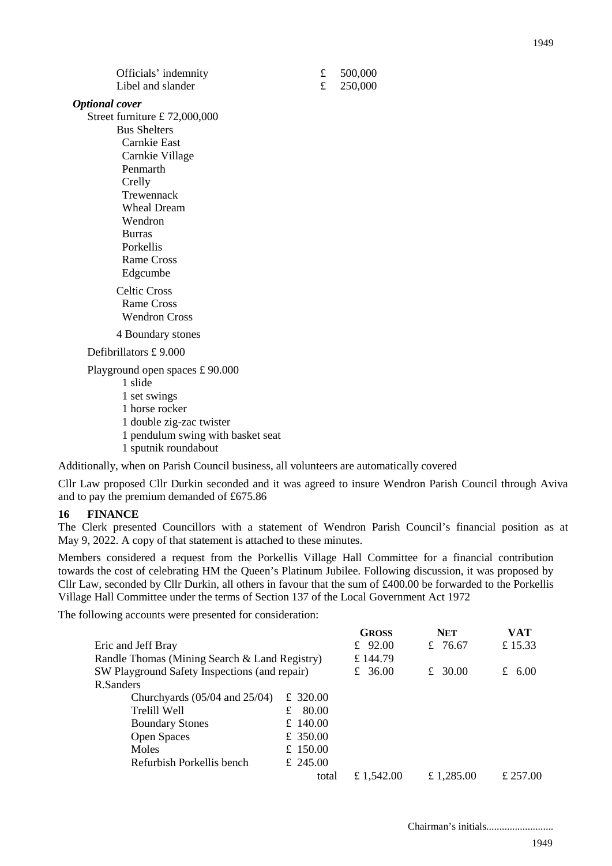1949

| <b>Optional</b> cover             |
|-----------------------------------|
| Street furniture £ 72,000,000     |
| <b>Bus Shelters</b>               |
| Carnkie East                      |
| Carnkie Village                   |
| Penmarth                          |
| Crelly                            |
| Trewennack                        |
| <b>Wheal Dream</b>                |
| Wendron                           |
| <b>Burras</b>                     |
| <b>Porkellis</b>                  |
| <b>Rame Cross</b>                 |
| Edgcumbe                          |
| <b>Celtic Cross</b>               |
| Rame Cross                        |
| <b>Wendron Cross</b>              |
| 4 Boundary stones                 |
| Defibrillators £9.000             |
| Playground open spaces £ 90.000   |
| 1 slide                           |
| 1 set swings                      |
| 1 horse rocker                    |
| 1 double zig-zac twister          |
| 1 pendulum swing with basket seat |
| 1 sputnik roundabout              |

Officials' indemnity  $\qquad \qquad \textbf{\textsterling} \qquad \textbf{500,000}$ Libel and slander  $\qquad \qquad \text{£} \quad 250,000$ 

Additionally, when on Parish Council business, all volunteers are automatically covered

Cllr Law proposed Cllr Durkin seconded and it was agreed to insure Wendron Parish Council through Aviva and to pay the premium demanded of £675.86

#### **16 FINANCE**

The Clerk presented Councillors with a statement of Wendron Parish Council's financial position as at May 9, 2022. A copy of that statement is attached to these minutes.

Members considered a request from the Porkellis Village Hall Committee for a financial contribution towards the cost of celebrating HM the Queen's Platinum Jubilee. Following discussion, it was proposed by Cllr Law, seconded by Cllr Durkin, all others in favour that the sum of £400.00 be forwarded to the Porkellis Village Hall Committee under the terms of Section 137 of the Local Government Act 1972

The following accounts were presented for consideration:

|                                               |            | <b>GROSS</b> | <b>NET</b> | <b>VAT</b> |
|-----------------------------------------------|------------|--------------|------------|------------|
| Eric and Jeff Bray                            |            | £ $92.00$    | £ 76.67    | £15.33     |
| Randle Thomas (Mining Search & Land Registry) |            | £ 144.79     |            |            |
| SW Playground Safety Inspections (and repair) | £ 36.00    | £ 30.00      | 6.00<br>£  |            |
| R.Sanders                                     |            |              |            |            |
| Churchyards $(05/04$ and $25/04)$             | £ 320.00   |              |            |            |
| Trelill Well                                  | 80.00<br>£ |              |            |            |
| <b>Boundary Stones</b>                        | £ 140.00   |              |            |            |
| <b>Open Spaces</b>                            | £ 350.00   |              |            |            |
| Moles                                         | £ 150.00   |              |            |            |
| Refurbish Porkellis bench                     | £ 245.00   |              |            |            |
|                                               | total      | £ 1,542.00   | £ 1,285.00 | £ 257.00   |
|                                               |            |              |            |            |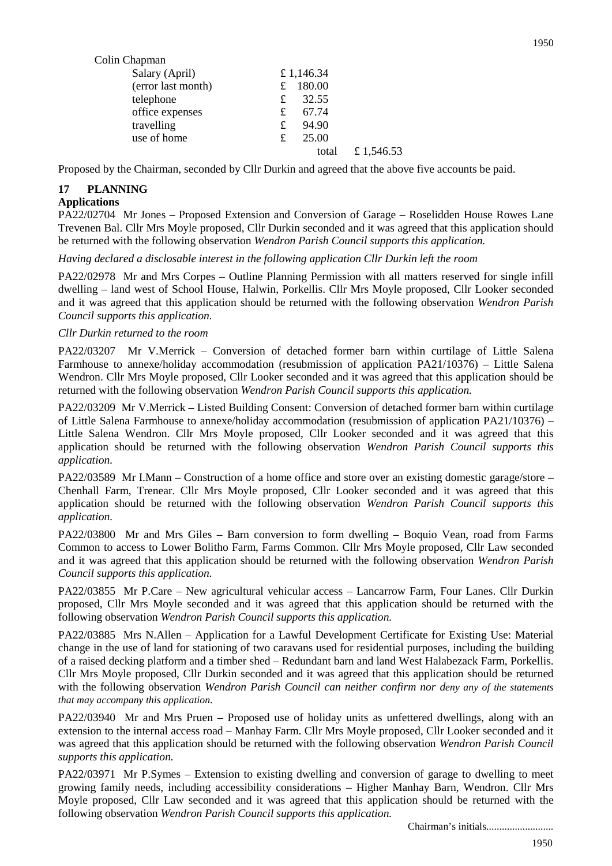| Colin Chapman      |            |            |
|--------------------|------------|------------|
| Salary (April)     | £ 1,146.34 |            |
| (error last month) | 180.00     |            |
| telephone          | 32.55<br>£ |            |
| office expenses    | 67.74<br>£ |            |
| travelling         | 94.90<br>£ |            |
| use of home        | 25.00<br>£ |            |
|                    | total      | £ 1,546.53 |

Proposed by the Chairman, seconded by Cllr Durkin and agreed that the above five accounts be paid.

# **17 PLANNING**

#### **Applications**

PA22/02704 Mr Jones – Proposed Extension and Conversion of Garage – Roselidden House Rowes Lane Trevenen Bal. Cllr Mrs Moyle proposed, Cllr Durkin seconded and it was agreed that this application should be returned with the following observation *Wendron Parish Council supports this application.*

*Having declared a disclosable interest in the following application Cllr Durkin left the room*

PA22/02978 Mr and Mrs Corpes – Outline Planning Permission with all matters reserved for single infill dwelling – land west of School House, Halwin, Porkellis. Cllr Mrs Moyle proposed, Cllr Looker seconded and it was agreed that this application should be returned with the following observation *Wendron Parish Council supports this application.*

### *Cllr Durkin returned to the room*

PA22/03207 Mr V.Merrick – Conversion of detached former barn within curtilage of Little Salena Farmhouse to annexe/holiday accommodation (resubmission of application PA21/10376) – Little Salena Wendron. Cllr Mrs Moyle proposed, Cllr Looker seconded and it was agreed that this application should be returned with the following observation *Wendron Parish Council supports this application.*

PA22/03209 Mr V.Merrick – Listed Building Consent: Conversion of detached former barn within curtilage of Little Salena Farmhouse to annexe/holiday accommodation (resubmission of application PA21/10376) – Little Salena Wendron. Cllr Mrs Moyle proposed, Cllr Looker seconded and it was agreed that this application should be returned with the following observation *Wendron Parish Council supports this application.*

PA22/03589 Mr I.Mann – Construction of a home office and store over an existing domestic garage/store – Chenhall Farm, Trenear. Cllr Mrs Moyle proposed, Cllr Looker seconded and it was agreed that this application should be returned with the following observation *Wendron Parish Council supports this application.*

PA22/03800 Mr and Mrs Giles – Barn conversion to form dwelling – Boquio Vean, road from Farms Common to access to Lower Bolitho Farm, Farms Common. Cllr Mrs Moyle proposed, Cllr Law seconded and it was agreed that this application should be returned with the following observation *Wendron Parish Council supports this application.*

PA22/03855 Mr P.Care – New agricultural vehicular access – Lancarrow Farm, Four Lanes. Cllr Durkin proposed, Cllr Mrs Moyle seconded and it was agreed that this application should be returned with the following observation *Wendron Parish Council supports this application.*

PA22/03885 Mrs N.Allen – Application for a Lawful Development Certificate for Existing Use: Material change in the use of land for stationing of two caravans used for residential purposes, including the building of a raised decking platform and a timber shed – Redundant barn and land West Halabezack Farm, Porkellis. Cllr Mrs Moyle proposed, Cllr Durkin seconded and it was agreed that this application should be returned with the following observation *Wendron Parish Council can neither confirm nor deny any of the statements that may accompany this application.*

PA22/03940 Mr and Mrs Pruen – Proposed use of holiday units as unfettered dwellings, along with an extension to the internal access road – Manhay Farm. Cllr Mrs Moyle proposed, Cllr Looker seconded and it was agreed that this application should be returned with the following observation *Wendron Parish Council supports this application.*

PA22/03971 Mr P.Symes – Extension to existing dwelling and conversion of garage to dwelling to meet growing family needs, including accessibility considerations – Higher Manhay Barn, Wendron. Cllr Mrs Moyle proposed, Cllr Law seconded and it was agreed that this application should be returned with the following observation *Wendron Parish Council supports this application.*

Chairman's initials..........................